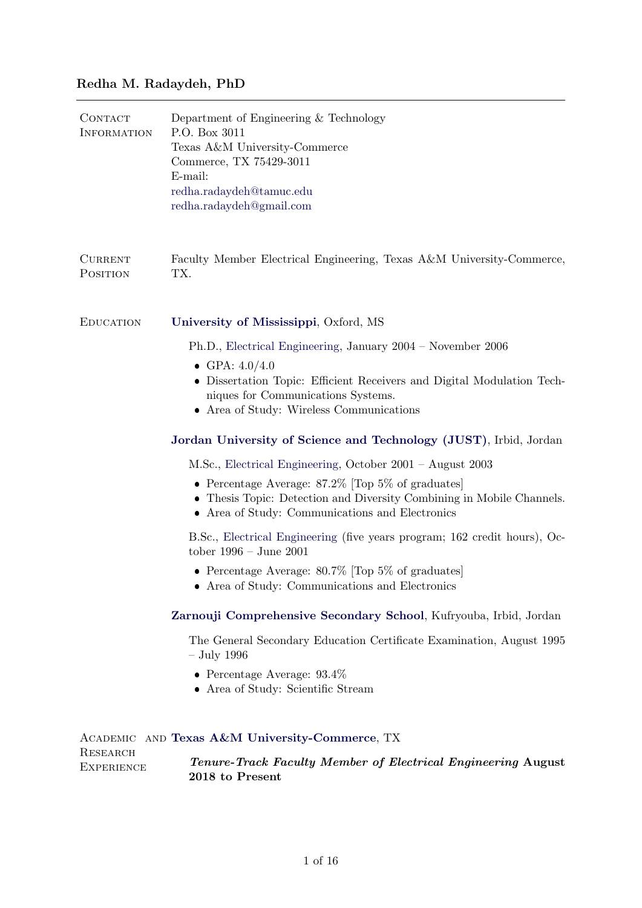## Redha M. Radaydeh, PhD

| <b>CONTACT</b><br><b>INFORMATION</b> | Department of Engineering & Technology<br>P.O. Box 3011<br>Texas A&M University-Commerce<br>Commerce, TX 75429-3011<br>E-mail:<br>redha.radaydeh@tamuc.edu<br>redha.radaydeh@gmail.com |
|--------------------------------------|----------------------------------------------------------------------------------------------------------------------------------------------------------------------------------------|
| <b>CURRENT</b><br>POSITION           | Faculty Member Electrical Engineering, Texas A&M University-Commerce,<br>TX.                                                                                                           |
| <b>EDUCATION</b>                     | University of Mississippi, Oxford, MS                                                                                                                                                  |
|                                      | Ph.D., Electrical Engineering, January 2004 – November 2006                                                                                                                            |
|                                      | • GPA: $4.0/4.0$<br>• Dissertation Topic: Efficient Receivers and Digital Modulation Tech-<br>niques for Communications Systems.<br>• Area of Study: Wireless Communications           |
|                                      | Jordan University of Science and Technology (JUST), Irbid, Jordan                                                                                                                      |
|                                      | M.Sc., Electrical Engineering, October 2001 – August 2003                                                                                                                              |
|                                      | • Percentage Average: $87.2\%$ [Top 5\% of graduates]<br>• Thesis Topic: Detection and Diversity Combining in Mobile Channels.<br>• Area of Study: Communications and Electronics      |
|                                      | B.Sc., Electrical Engineering (five years program; 162 credit hours), Oc-<br>tober $1996 - June 2001$                                                                                  |
|                                      | • Percentage Average: $80.7\%$ Top 5% of graduates<br>• Area of Study: Communications and Electronics                                                                                  |
|                                      | Zarnouji Comprehensive Secondary School, Kufryouba, Irbid, Jordan                                                                                                                      |
|                                      | The General Secondary Education Certificate Examination, August 1995<br>$-$ July 1996                                                                                                  |
|                                      | • Percentage Average: $93.4\%$<br>• Area of Study: Scientific Stream                                                                                                                   |
| ACADEMIC                             | AND Texas A&M University-Commerce, TX                                                                                                                                                  |
| RESEARCH<br><b>EXPERIENCE</b>        | <b>Tenure-Track Faculty Member of Electrical Engineering August</b><br>2018 to Present                                                                                                 |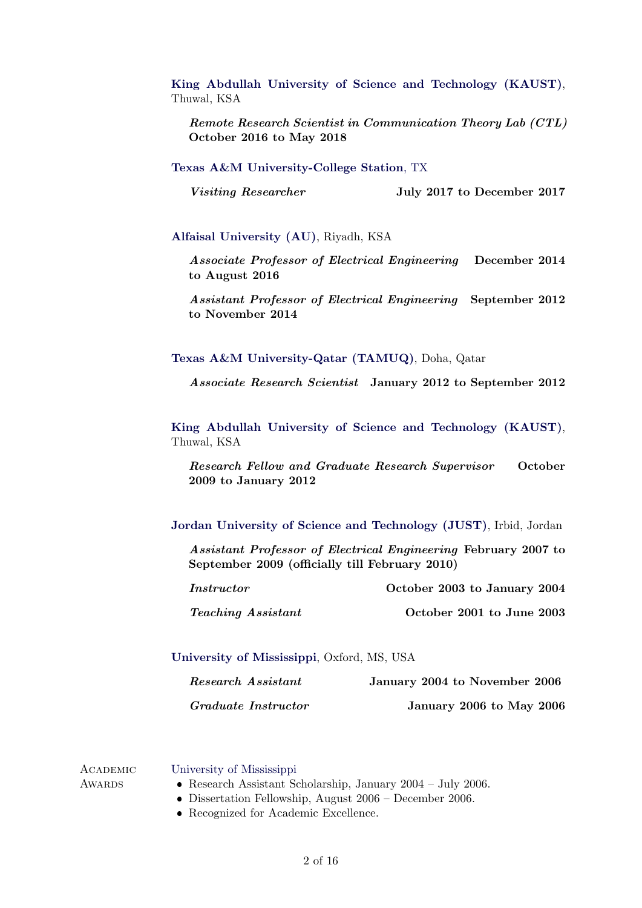[King Abdullah University of Science and Technology \(KAUST\)](http://www.kaust.edu.sa), Thuwal, KSA

Remote Research Scientist in Communication Theory Lab (CTL) October 2016 to May 2018

[Texas A&M University-College Station](http://www.kaust.edu.sa), TX

Visiting Researcher July 2017 to December 2017

[Alfaisal University \(AU\)](http://www.alfaisal.edu), Riyadh, KSA

Associate Professor of Electrical Engineering December 2014 to August 2016

Assistant Professor of Electrical Engineering September 2012 to November 2014

[Texas A&M University-Qatar \(TAMUQ\)](http://www.tamuq.edu), Doha, Qatar

Associate Research Scientist January 2012 to September 2012

[King Abdullah University of Science and Technology \(KAUST\)](http://www.kaust.edu.sa), Thuwal, KSA

Research Fellow and Graduate Research Supervisor October 2009 to January 2012

[Jordan University of Science and Technology \(JUST\)](http://www.just.edu.jo), Irbid, Jordan

Assistant Professor of Electrical Engineering February 2007 to September 2009 (officially till February 2010)

| <i>Instructor</i>         | October 2003 to January 2004 |
|---------------------------|------------------------------|
| <i>Teaching Assistant</i> | October 2001 to June 2003    |

[University of Mississippi](http://www.olemiss.edu), Oxford, MS, USA

| Research Assistant  | January 2004 to November 2006 |
|---------------------|-------------------------------|
| Graduate Instructor | January 2006 to May 2006      |

**ACADEMIC AWARDS** [University of Mississippi](http://www.olemiss.edu) Research Assistant Scholarship, January 2004 – July 2006. Dissertation Fellowship, August 2006 – December 2006.

Recognized for Academic Excellence.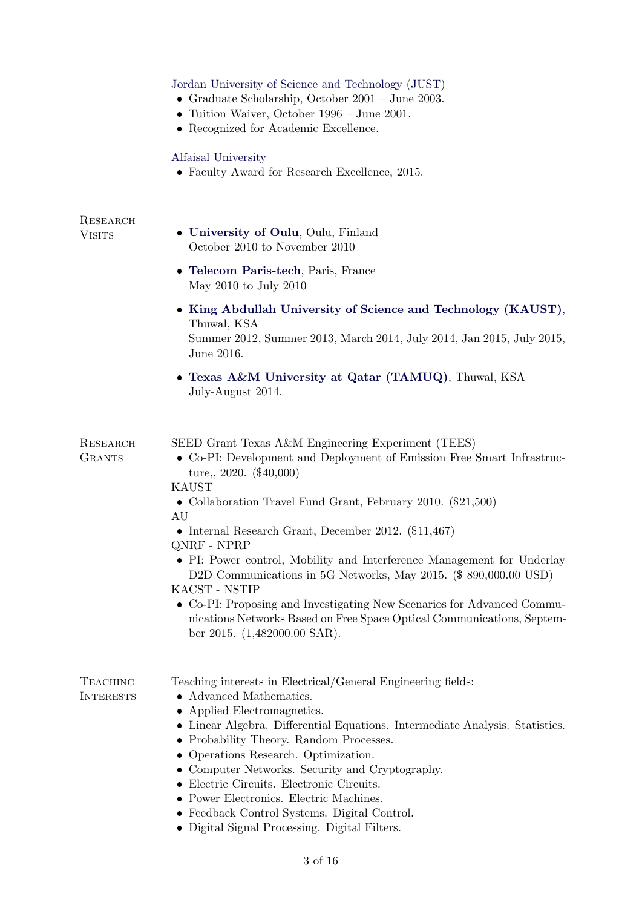|                                     | Jordan University of Science and Technology (JUST)<br>• Graduate Scholarship, October $2001 - \text{June } 2003$ .<br>• Tuition Waiver, October $1996 - \text{June } 2001$ .<br>• Recognized for Academic Excellence.                                                                                                                                                                                                                                                                          |
|-------------------------------------|------------------------------------------------------------------------------------------------------------------------------------------------------------------------------------------------------------------------------------------------------------------------------------------------------------------------------------------------------------------------------------------------------------------------------------------------------------------------------------------------|
|                                     | Alfaisal University<br>• Faculty Award for Research Excellence, 2015.                                                                                                                                                                                                                                                                                                                                                                                                                          |
| RESEARCH<br><b>VISITS</b>           | • University of Oulu, Oulu, Finland<br>October 2010 to November 2010                                                                                                                                                                                                                                                                                                                                                                                                                           |
|                                     | • Telecom Paris-tech, Paris, France<br>May 2010 to July 2010                                                                                                                                                                                                                                                                                                                                                                                                                                   |
|                                     | • King Abdullah University of Science and Technology (KAUST),<br>Thuwal, KSA<br>Summer 2012, Summer 2013, March 2014, July 2014, Jan 2015, July 2015,<br>June 2016.                                                                                                                                                                                                                                                                                                                            |
|                                     | • Texas A&M University at Qatar (TAMUQ), Thuwal, KSA<br>July-August 2014.                                                                                                                                                                                                                                                                                                                                                                                                                      |
| RESEARCH<br><b>GRANTS</b>           | SEED Grant Texas A&M Engineering Experiment (TEES)<br>• Co-PI: Development and Deployment of Emission Free Smart Infrastruc-<br>ture, $2020.$ (\$40,000)<br><b>KAUST</b>                                                                                                                                                                                                                                                                                                                       |
|                                     | • Collaboration Travel Fund Grant, February 2010. (\$21,500)<br>AU<br>• Internal Research Grant, December 2012. $(\$11,467)$                                                                                                                                                                                                                                                                                                                                                                   |
|                                     | QNRF - NPRP<br>• PI: Power control, Mobility and Interference Management for Underlay<br>D2D Communications in 5G Networks, May 2015. (\$ 890,000.00 USD)<br>KACST - NSTIP                                                                                                                                                                                                                                                                                                                     |
|                                     | • Co-PI: Proposing and Investigating New Scenarios for Advanced Commu-<br>nications Networks Based on Free Space Optical Communications, Septem-<br>ber 2015. $(1,482000.00 \text{ SAR})$ .                                                                                                                                                                                                                                                                                                    |
| <b>TEACHING</b><br><b>INTERESTS</b> | Teaching interests in Electrical/General Engineering fields:<br>• Advanced Mathematics.<br>• Applied Electromagnetics.<br>$\bullet\,$ Linear Algebra. Differential Equations. Intermediate Analysis. Statistics.<br>• Probability Theory. Random Processes.<br>• Operations Research. Optimization.<br>• Computer Networks. Security and Cryptography.<br>• Electric Circuits. Electronic Circuits.<br>• Power Electronics. Electric Machines.<br>• Feedback Control Systems. Digital Control. |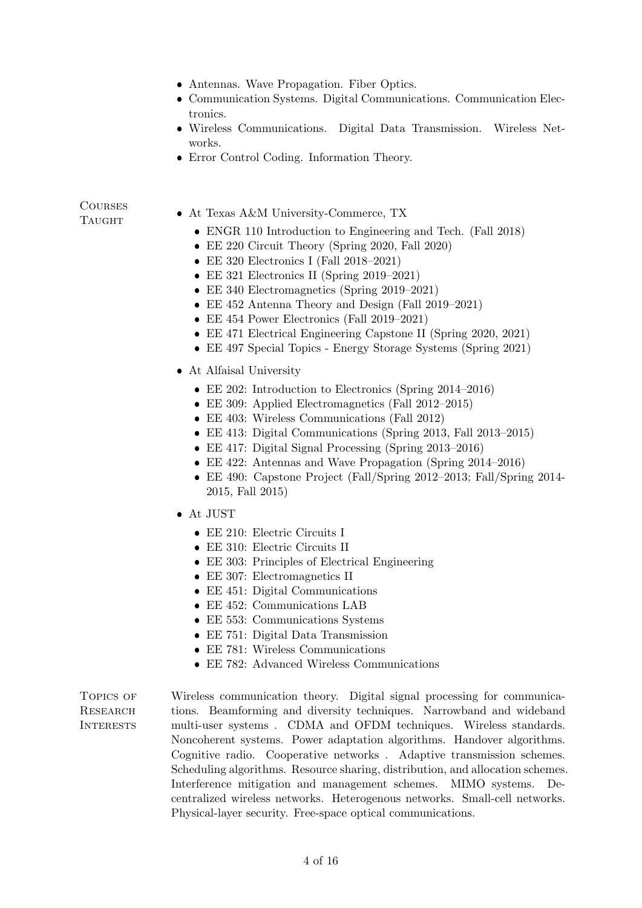- Antennas. Wave Propagation. Fiber Optics.
- Communication Systems. Digital Communications. Communication Electronics.
- Wireless Communications. Digital Data Transmission. Wireless Networks.
- Error Control Coding. Information Theory.

# **COURSES**

- TAUGHT At Texas A&M University-Commerce, TX
	- ENGR 110 Introduction to Engineering and Tech. (Fall 2018)
	- EE 220 Circuit Theory (Spring 2020, Fall 2020)
	- EE 320 Electronics I (Fall 2018–2021)
	- EE 321 Electronics II (Spring 2019–2021)
	- EE 340 Electromagnetics (Spring 2019–2021)
	- EE 452 Antenna Theory and Design (Fall 2019–2021)
	- EE 454 Power Electronics (Fall 2019–2021)
	- EE 471 Electrical Engineering Capstone II (Spring 2020, 2021)
	- EE 497 Special Topics Energy Storage Systems (Spring 2021)
	- At Alfaisal University
		- EE 202: Introduction to Electronics (Spring 2014–2016)
		- EE 309: Applied Electromagnetics (Fall 2012–2015)
		- EE 403: Wireless Communications (Fall 2012)
		- EE 413: Digital Communications (Spring 2013, Fall 2013–2015)
		- EE 417: Digital Signal Processing (Spring 2013–2016)
		- EE 422: Antennas and Wave Propagation (Spring 2014–2016)
		- EE 490: Capstone Project (Fall/Spring 2012–2013; Fall/Spring 2014- 2015, Fall 2015)
	- At JUST
		- EE 210: Electric Circuits I
		- EE 310: Electric Circuits II
		- EE 303: Principles of Electrical Engineering
		- EE 307: Electromagnetics II
		- EE 451: Digital Communications
		- EE 452: Communications LAB
		- EE 553: Communications Systems
		- EE 751: Digital Data Transmission
		- EE 781: Wireless Communications
		- EE 782: Advanced Wireless Communications

TOPICS OF **RESEARCH INTERESTS** 

Wireless communication theory. Digital signal processing for communications. Beamforming and diversity techniques. Narrowband and wideband multi-user systems . CDMA and OFDM techniques. Wireless standards. Noncoherent systems. Power adaptation algorithms. Handover algorithms. Cognitive radio. Cooperative networks . Adaptive transmission schemes. Scheduling algorithms. Resource sharing, distribution, and allocation schemes. Interference mitigation and management schemes. MIMO systems. Decentralized wireless networks. Heterogenous networks. Small-cell networks. Physical-layer security. Free-space optical communications.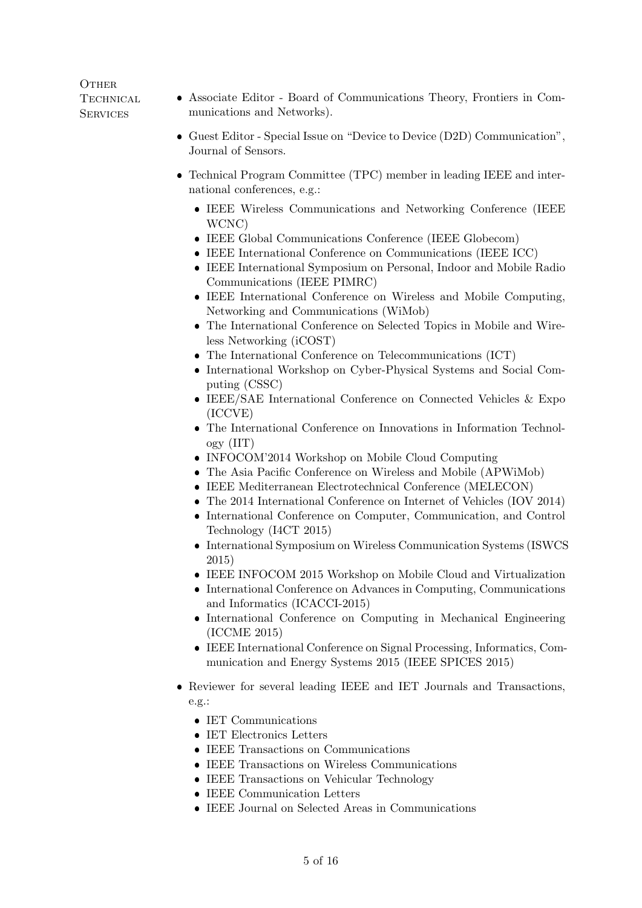## **OTHER TECHNICAL SERVICES**

- Associate Editor Board of Communications Theory, Frontiers in Communications and Networks).
- Guest Editor Special Issue on "Device to Device (D2D) Communication", Journal of Sensors.
- Technical Program Committee (TPC) member in leading IEEE and international conferences, e.g.:
	- IEEE Wireless Communications and Networking Conference (IEEE WCNC)
	- IEEE Global Communications Conference (IEEE Globecom)
	- IEEE International Conference on Communications (IEEE ICC)
	- IEEE International Symposium on Personal, Indoor and Mobile Radio Communications (IEEE PIMRC)
	- IEEE International Conference on Wireless and Mobile Computing, Networking and Communications (WiMob)
	- The International Conference on Selected Topics in Mobile and Wireless Networking (iCOST)
	- The International Conference on Telecommunications (ICT)
	- International Workshop on Cyber-Physical Systems and Social Computing (CSSC)
	- IEEE/SAE International Conference on Connected Vehicles & Expo (ICCVE)
	- The International Conference on Innovations in Information Technology (IIT)
	- INFOCOM'2014 Workshop on Mobile Cloud Computing
	- The Asia Pacific Conference on Wireless and Mobile (APWiMob)
	- IEEE Mediterranean Electrotechnical Conference (MELECON)
	- The 2014 International Conference on Internet of Vehicles (IOV 2014)
	- International Conference on Computer, Communication, and Control Technology (I4CT 2015)
	- International Symposium on Wireless Communication Systems (ISWCS 2015)
	- IEEE INFOCOM 2015 Workshop on Mobile Cloud and Virtualization
	- International Conference on Advances in Computing, Communications and Informatics (ICACCI-2015)
	- International Conference on Computing in Mechanical Engineering (ICCME 2015)
	- IEEE International Conference on Signal Processing, Informatics, Communication and Energy Systems 2015 (IEEE SPICES 2015)
- Reviewer for several leading IEEE and IET Journals and Transactions, e.g.:
	- IET Communications
	- IET Electronics Letters
	- IEEE Transactions on Communications
	- IEEE Transactions on Wireless Communications
	- IEEE Transactions on Vehicular Technology
	- IEEE Communication Letters
	- IEEE Journal on Selected Areas in Communications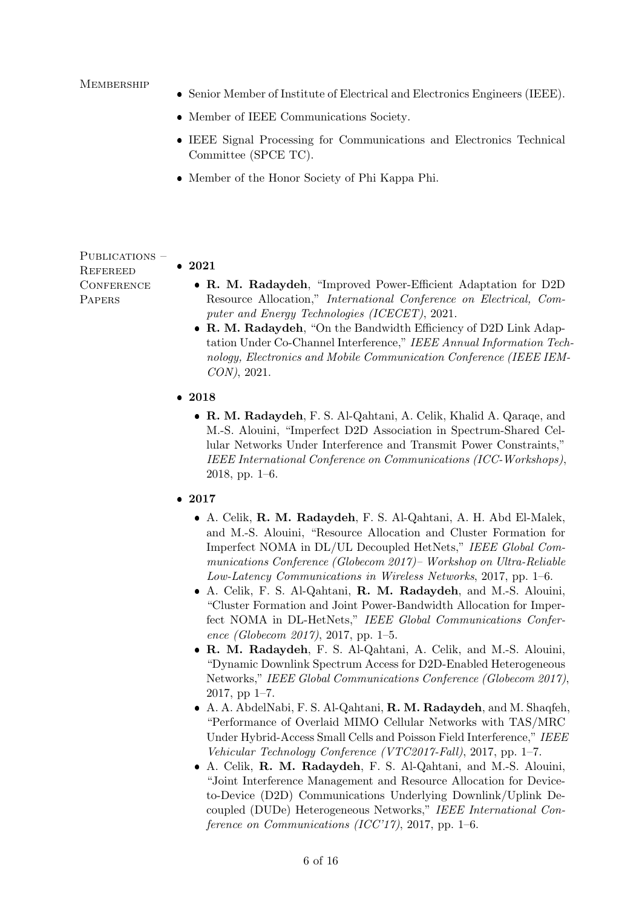#### **MEMBERSHIP**

- Senior Member of Institute of Electrical and Electronics Engineers (IEEE).
- Member of IEEE Communications Society.
- IEEE Signal Processing for Communications and Electronics Technical Committee (SPCE TC).
- Member of the Honor Society of Phi Kappa Phi.

PUBLICATIONS – **REFEREED CONFERENCE PAPERS** 

- R. M. Radaydeh, "Improved Power-Efficient Adaptation for D2D Resource Allocation," International Conference on Electrical, Computer and Energy Technologies (ICECET), 2021.
- R. M. Radaydeh, "On the Bandwidth Efficiency of D2D Link Adaptation Under Co-Channel Interference," IEEE Annual Information Technology, Electronics and Mobile Communication Conference (IEEE IEM-CON), 2021.
- 2018

• 2021

- R. M. Radaydeh, F. S. Al-Qahtani, A. Celik, Khalid A. Qaraqe, and M.-S. Alouini, "Imperfect D2D Association in Spectrum-Shared Cellular Networks Under Interference and Transmit Power Constraints," IEEE International Conference on Communications (ICC-Workshops), 2018, pp. 1–6.
- 2017
	- A. Celik, R. M. Radaydeh, F. S. Al-Qahtani, A. H. Abd El-Malek, and M.-S. Alouini, "Resource Allocation and Cluster Formation for Imperfect NOMA in DL/UL Decoupled HetNets," IEEE Global Communications Conference (Globecom 2017)– Workshop on Ultra-Reliable Low-Latency Communications in Wireless Networks, 2017, pp. 1–6.
	- A. Celik, F. S. Al-Qahtani, R. M. Radaydeh, and M.-S. Alouini, "Cluster Formation and Joint Power-Bandwidth Allocation for Imperfect NOMA in DL-HetNets," IEEE Global Communications Conference (Globecom 2017), 2017, pp. 1–5.
	- R. M. Radaydeh, F. S. Al-Qahtani, A. Celik, and M.-S. Alouini, "Dynamic Downlink Spectrum Access for D2D-Enabled Heterogeneous Networks," IEEE Global Communications Conference (Globecom 2017), 2017, pp 1–7.
	- A. A. AbdelNabi, F. S. Al-Qahtani, R. M. Radaydeh, and M. Shaqfeh, "Performance of Overlaid MIMO Cellular Networks with TAS/MRC Under Hybrid-Access Small Cells and Poisson Field Interference," IEEE Vehicular Technology Conference (VTC2017-Fall), 2017, pp. 1–7.
	- A. Celik, R. M. Radaydeh, F. S. Al-Qahtani, and M.-S. Alouini, "Joint Interference Management and Resource Allocation for Deviceto-Device (D2D) Communications Underlying Downlink/Uplink Decoupled (DUDe) Heterogeneous Networks," IEEE International Conference on Communications (ICC'17), 2017, pp. 1–6.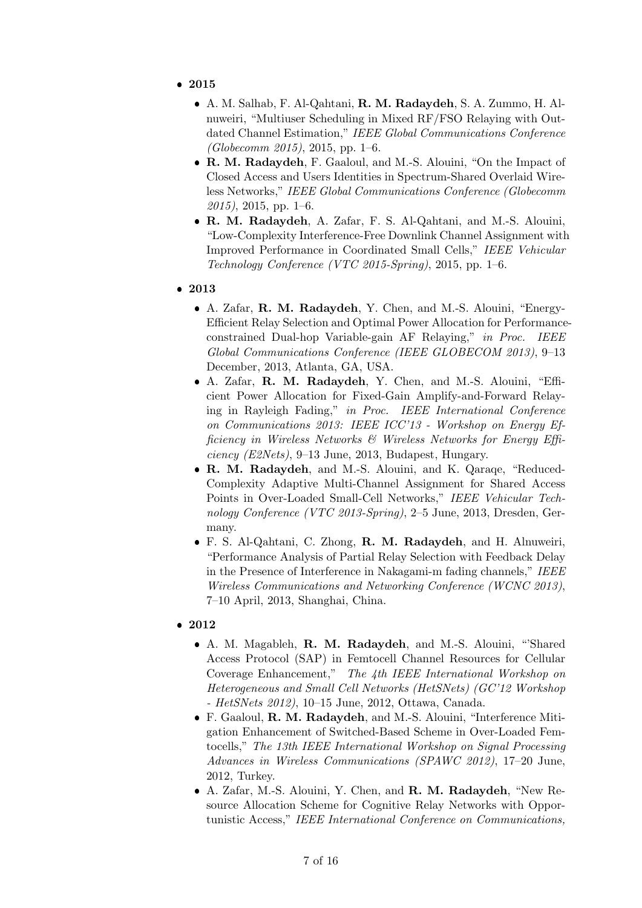- 2015
	- A. M. Salhab, F. Al-Qahtani, R. M. Radaydeh, S. A. Zummo, H. Alnuweiri, "Multiuser Scheduling in Mixed RF/FSO Relaying with Outdated Channel Estimation," IEEE Global Communications Conference  $(Globecomm 2015), 2015, pp. 1–6.$
	- R. M. Radaydeh, F. Gaaloul, and M.-S. Alouini, "On the Impact of Closed Access and Users Identities in Spectrum-Shared Overlaid Wireless Networks," IEEE Global Communications Conference (Globecomm 2015), 2015, pp. 1–6.
	- R. M. Radaydeh, A. Zafar, F. S. Al-Qahtani, and M.-S. Alouini, "Low-Complexity Interference-Free Downlink Channel Assignment with Improved Performance in Coordinated Small Cells," IEEE Vehicular Technology Conference (VTC 2015-Spring), 2015, pp. 1–6.
- 2013
	- A. Zafar, R. M. Radaydeh, Y. Chen, and M.-S. Alouini, "Energy-Efficient Relay Selection and Optimal Power Allocation for Performanceconstrained Dual-hop Variable-gain AF Relaying," in Proc. IEEE Global Communications Conference (IEEE GLOBECOM 2013), 9–13 December, 2013, Atlanta, GA, USA.
	- A. Zafar, R. M. Radaydeh, Y. Chen, and M.-S. Alouini, "Efficient Power Allocation for Fixed-Gain Amplify-and-Forward Relaying in Rayleigh Fading," in Proc. IEEE International Conference on Communications 2013: IEEE ICC'13 - Workshop on Energy Efficiency in Wireless Networks & Wireless Networks for Energy Efficiency (E2Nets), 9–13 June, 2013, Budapest, Hungary.
	- R. M. Radaydeh, and M.-S. Alouini, and K. Qaraqe, "Reduced-Complexity Adaptive Multi-Channel Assignment for Shared Access Points in Over-Loaded Small-Cell Networks," IEEE Vehicular Technology Conference (VTC 2013-Spring), 2–5 June, 2013, Dresden, Germany.
	- F. S. Al-Qahtani, C. Zhong, R. M. Radaydeh, and H. Alnuweiri, "Performance Analysis of Partial Relay Selection with Feedback Delay in the Presence of Interference in Nakagami-m fading channels," IEEE Wireless Communications and Networking Conference (WCNC 2013), 7–10 April, 2013, Shanghai, China.
- 2012
	- A. M. Magableh, R. M. Radaydeh, and M.-S. Alouini, "'Shared Access Protocol (SAP) in Femtocell Channel Resources for Cellular Coverage Enhancement," The 4th IEEE International Workshop on Heterogeneous and Small Cell Networks (HetSNets) (GC'12 Workshop - HetSNets 2012), 10-15 June, 2012, Ottawa, Canada.
	- F. Gaaloul, R. M. Radaydeh, and M.-S. Alouini, "Interference Mitigation Enhancement of Switched-Based Scheme in Over-Loaded Femtocells," The 13th IEEE International Workshop on Signal Processing Advances in Wireless Communications (SPAWC 2012), 17–20 June, 2012, Turkey.
	- A. Zafar, M.-S. Alouini, Y. Chen, and R. M. Radaydeh, "New Resource Allocation Scheme for Cognitive Relay Networks with Opportunistic Access," IEEE International Conference on Communications,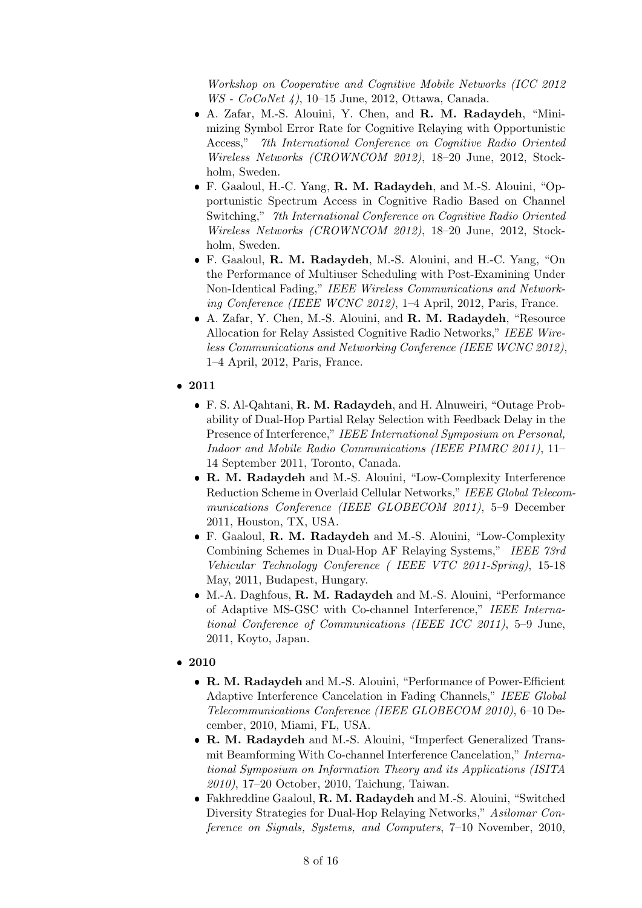Workshop on Cooperative and Cognitive Mobile Networks (ICC 2012 WS - CoCoNet 4), 10–15 June, 2012, Ottawa, Canada.

- A. Zafar, M.-S. Alouini, Y. Chen, and R. M. Radaydeh, "Minimizing Symbol Error Rate for Cognitive Relaying with Opportunistic Access," 7th International Conference on Cognitive Radio Oriented Wireless Networks (CROWNCOM 2012), 18–20 June, 2012, Stockholm, Sweden.
- F. Gaaloul, H.-C. Yang, R. M. Radaydeh, and M.-S. Alouini, "Opportunistic Spectrum Access in Cognitive Radio Based on Channel Switching," 7th International Conference on Cognitive Radio Oriented Wireless Networks (CROWNCOM 2012), 18–20 June, 2012, Stockholm, Sweden.
- F. Gaaloul, R. M. Radaydeh, M.-S. Alouini, and H.-C. Yang, "On the Performance of Multiuser Scheduling with Post-Examining Under Non-Identical Fading," IEEE Wireless Communications and Networking Conference (IEEE WCNC 2012), 1–4 April, 2012, Paris, France.
- A. Zafar, Y. Chen, M.-S. Alouini, and R. M. Radaydeh, "Resource Allocation for Relay Assisted Cognitive Radio Networks," IEEE Wireless Communications and Networking Conference (IEEE WCNC 2012), 1–4 April, 2012, Paris, France.
- 2011
	- F. S. Al-Qahtani, R. M. Radaydeh, and H. Alnuweiri, "Outage Probability of Dual-Hop Partial Relay Selection with Feedback Delay in the Presence of Interference," IEEE International Symposium on Personal, Indoor and Mobile Radio Communications (IEEE PIMRC 2011), 11– 14 September 2011, Toronto, Canada.
	- R. M. Radaydeh and M.-S. Alouini, "Low-Complexity Interference Reduction Scheme in Overlaid Cellular Networks," IEEE Global Telecommunications Conference (IEEE GLOBECOM 2011), 5–9 December 2011, Houston, TX, USA.
	- F. Gaaloul, R. M. Radaydeh and M.-S. Alouini, "Low-Complexity Combining Schemes in Dual-Hop AF Relaying Systems," IEEE 73rd Vehicular Technology Conference ( IEEE VTC 2011-Spring), 15-18 May, 2011, Budapest, Hungary.
	- M.-A. Daghfous, R. M. Radaydeh and M.-S. Alouini, "Performance of Adaptive MS-GSC with Co-channel Interference," IEEE International Conference of Communications (IEEE ICC 2011), 5–9 June, 2011, Koyto, Japan.
- 2010
	- R. M. Radaydeh and M.-S. Alouini, "Performance of Power-Efficient Adaptive Interference Cancelation in Fading Channels," IEEE Global Telecommunications Conference (IEEE GLOBECOM 2010), 6–10 December, 2010, Miami, FL, USA.
	- R. M. Radaydeh and M.-S. Alouini, "Imperfect Generalized Transmit Beamforming With Co-channel Interference Cancelation," International Symposium on Information Theory and its Applications (ISITA 2010), 17–20 October, 2010, Taichung, Taiwan.
	- Fakhreddine Gaaloul, R. M. Radaydeh and M.-S. Alouini, "Switched Diversity Strategies for Dual-Hop Relaying Networks," Asilomar Conference on Signals, Systems, and Computers, 7–10 November, 2010,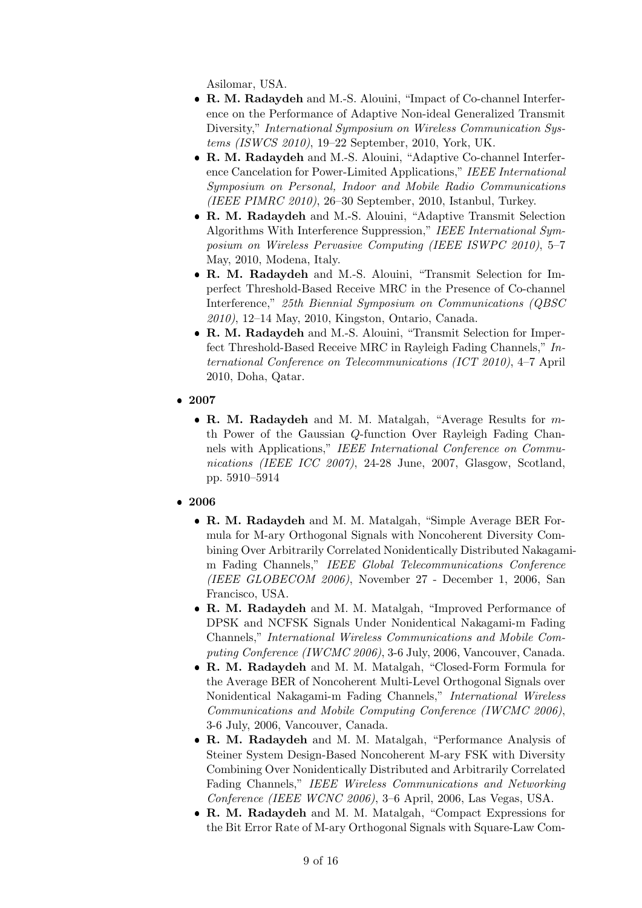Asilomar, USA.

- R. M. Radaydeh and M.-S. Alouini, "Impact of Co-channel Interference on the Performance of Adaptive Non-ideal Generalized Transmit Diversity," International Symposium on Wireless Communication Systems (ISWCS 2010), 19–22 September, 2010, York, UK.
- R. M. Radaydeh and M.-S. Alouini, "Adaptive Co-channel Interference Cancelation for Power-Limited Applications," IEEE International Symposium on Personal, Indoor and Mobile Radio Communications (IEEE PIMRC 2010), 26–30 September, 2010, Istanbul, Turkey.
- R. M. Radaydeh and M.-S. Alouini, "Adaptive Transmit Selection Algorithms With Interference Suppression," IEEE International Symposium on Wireless Pervasive Computing (IEEE ISWPC 2010), 5–7 May, 2010, Modena, Italy.
- R. M. Radaydeh and M.-S. Alouini, "Transmit Selection for Imperfect Threshold-Based Receive MRC in the Presence of Co-channel Interference," 25th Biennial Symposium on Communications (QBSC 2010), 12–14 May, 2010, Kingston, Ontario, Canada.
- R. M. Radaydeh and M.-S. Alouini, "Transmit Selection for Imperfect Threshold-Based Receive MRC in Rayleigh Fading Channels," International Conference on Telecommunications (ICT 2010), 4–7 April 2010, Doha, Qatar.
- 2007
	- R. M. Radaydeh and M. M. Matalgah, "Average Results for  $m$ th Power of the Gaussian Q-function Over Rayleigh Fading Channels with Applications," IEEE International Conference on Communications (IEEE ICC 2007), 24-28 June, 2007, Glasgow, Scotland, pp. 5910–5914
- 2006
	- R. M. Radaydeh and M. M. Matalgah, "Simple Average BER Formula for M-ary Orthogonal Signals with Noncoherent Diversity Combining Over Arbitrarily Correlated Nonidentically Distributed Nakagamim Fading Channels," IEEE Global Telecommunications Conference (IEEE GLOBECOM 2006), November 27 - December 1, 2006, San Francisco, USA.
	- R. M. Radaydeh and M. M. Matalgah, "Improved Performance of DPSK and NCFSK Signals Under Nonidentical Nakagami-m Fading Channels," International Wireless Communications and Mobile Computing Conference (IWCMC 2006), 3-6 July, 2006, Vancouver, Canada.
	- R. M. Radaydeh and M. M. Matalgah, "Closed-Form Formula for the Average BER of Noncoherent Multi-Level Orthogonal Signals over Nonidentical Nakagami-m Fading Channels," International Wireless Communications and Mobile Computing Conference (IWCMC 2006), 3-6 July, 2006, Vancouver, Canada.
	- R. M. Radaydeh and M. M. Matalgah, "Performance Analysis of Steiner System Design-Based Noncoherent M-ary FSK with Diversity Combining Over Nonidentically Distributed and Arbitrarily Correlated Fading Channels," IEEE Wireless Communications and Networking Conference (IEEE WCNC 2006), 3–6 April, 2006, Las Vegas, USA.
	- R. M. Radaydeh and M. M. Matalgah, "Compact Expressions for the Bit Error Rate of M-ary Orthogonal Signals with Square-Law Com-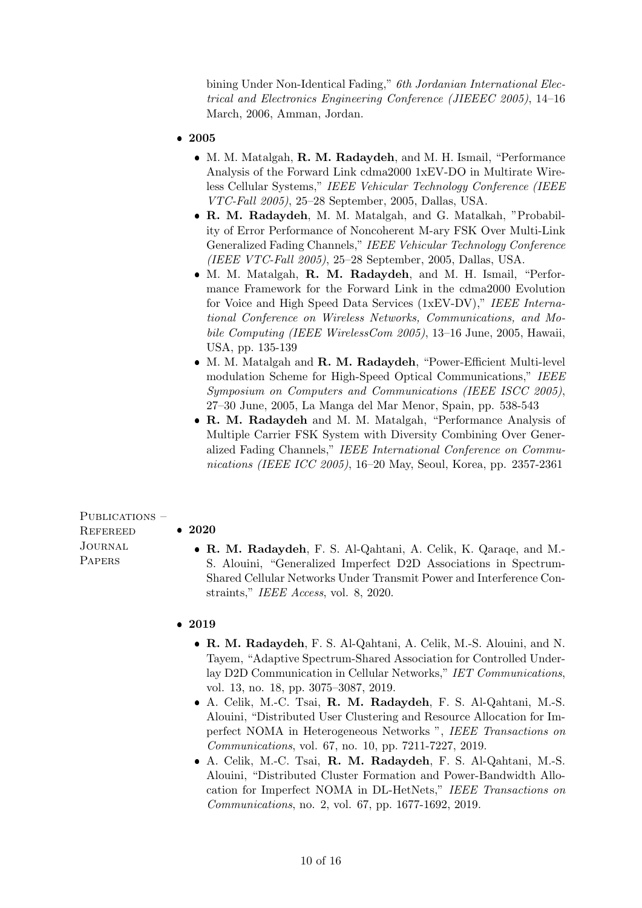bining Under Non-Identical Fading," *6th Jordanian International Elec*trical and Electronics Engineering Conference (JIEEEC 2005), 14–16 March, 2006, Amman, Jordan.

- 2005
	- M. M. Matalgah, R. M. Radaydeh, and M. H. Ismail, "Performance Analysis of the Forward Link cdma2000 1xEV-DO in Multirate Wireless Cellular Systems," IEEE Vehicular Technology Conference (IEEE VTC-Fall 2005), 25–28 September, 2005, Dallas, USA.
	- R. M. Radaydeh, M. M. Matalgah, and G. Matalkah, "Probability of Error Performance of Noncoherent M-ary FSK Over Multi-Link Generalized Fading Channels," IEEE Vehicular Technology Conference (IEEE VTC-Fall 2005), 25–28 September, 2005, Dallas, USA.
	- M. M. Matalgah, R. M. Radaydeh, and M. H. Ismail, "Performance Framework for the Forward Link in the cdma2000 Evolution for Voice and High Speed Data Services (1xEV-DV)," IEEE International Conference on Wireless Networks, Communications, and Mobile Computing (IEEE WirelessCom 2005), 13–16 June, 2005, Hawaii, USA, pp. 135-139
	- M. M. Matalgah and **R. M. Radaydeh**, "Power-Efficient Multi-level modulation Scheme for High-Speed Optical Communications," IEEE Symposium on Computers and Communications (IEEE ISCC 2005), 27–30 June, 2005, La Manga del Mar Menor, Spain, pp. 538-543
	- R. M. Radaydeh and M. M. Matalgah, "Performance Analysis of Multiple Carrier FSK System with Diversity Combining Over Generalized Fading Channels," IEEE International Conference on Communications (IEEE ICC 2005), 16–20 May, Seoul, Korea, pp. 2357-2361

PUBLICATIONS – **REFEREED** Journal **PAPERS** 

## • 2020

- R. M. Radaydeh, F. S. Al-Qahtani, A. Celik, K. Qaraqe, and M.- S. Alouini, "Generalized Imperfect D2D Associations in Spectrum-Shared Cellular Networks Under Transmit Power and Interference Constraints," IEEE Access, vol. 8, 2020.
- 2019
	- R. M. Radaydeh, F. S. Al-Qahtani, A. Celik, M.-S. Alouini, and N. Tayem, "Adaptive Spectrum-Shared Association for Controlled Underlay D2D Communication in Cellular Networks," IET Communications, vol. 13, no. 18, pp. 3075–3087, 2019.
	- A. Celik, M.-C. Tsai, R. M. Radaydeh, F. S. Al-Qahtani, M.-S. Alouini, "Distributed User Clustering and Resource Allocation for Imperfect NOMA in Heterogeneous Networks ", IEEE Transactions on Communications, vol. 67, no. 10, pp. 7211-7227, 2019.
	- A. Celik, M.-C. Tsai, R. M. Radaydeh, F. S. Al-Qahtani, M.-S. Alouini, "Distributed Cluster Formation and Power-Bandwidth Allocation for Imperfect NOMA in DL-HetNets," IEEE Transactions on Communications, no. 2, vol. 67, pp. 1677-1692, 2019.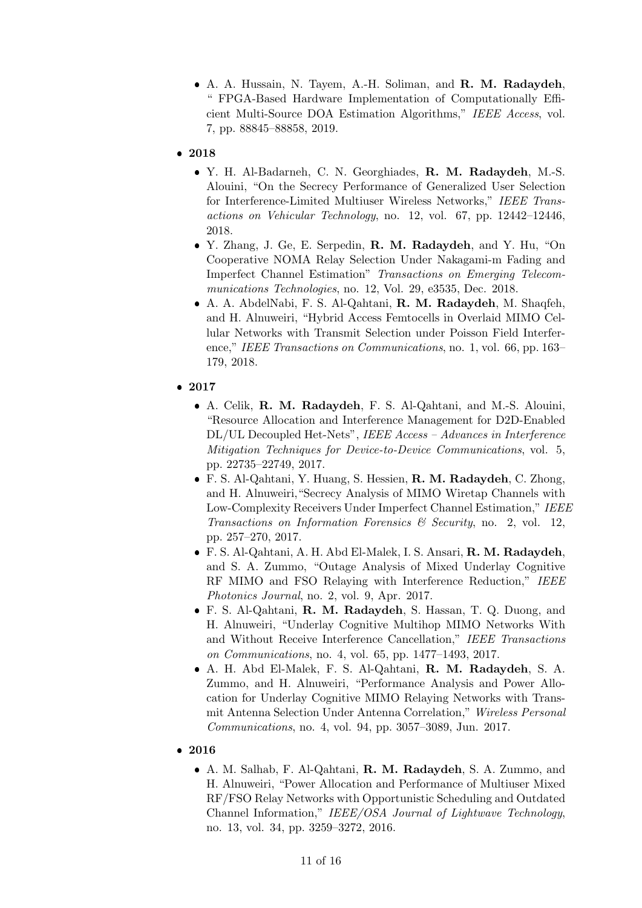- A. A. Hussain, N. Tayem, A.-H. Soliman, and R. M. Radaydeh, " FPGA-Based Hardware Implementation of Computationally Efficient Multi-Source DOA Estimation Algorithms," IEEE Access, vol. 7, pp. 88845–88858, 2019.
- 2018
	- Y. H. Al-Badarneh, C. N. Georghiades, R. M. Radaydeh, M.-S. Alouini, "On the Secrecy Performance of Generalized User Selection for Interference-Limited Multiuser Wireless Networks," IEEE Transactions on Vehicular Technology, no. 12, vol. 67, pp. 12442–12446, 2018.
	- Y. Zhang, J. Ge, E. Serpedin, R. M. Radaydeh, and Y. Hu, "On Cooperative NOMA Relay Selection Under Nakagami-m Fading and Imperfect Channel Estimation" Transactions on Emerging Telecommunications Technologies, no. 12, Vol. 29, e3535, Dec. 2018.
	- A. A. AbdelNabi, F. S. Al-Qahtani, R. M. Radaydeh, M. Shaqfeh, and H. Alnuweiri, "Hybrid Access Femtocells in Overlaid MIMO Cellular Networks with Transmit Selection under Poisson Field Interference," IEEE Transactions on Communications, no. 1, vol. 66, pp. 163– 179, 2018.
- 2017
	- A. Celik, R. M. Radaydeh, F. S. Al-Qahtani, and M.-S. Alouini, "Resource Allocation and Interference Management for D2D-Enabled DL/UL Decoupled Het-Nets", IEEE Access – Advances in Interference Mitigation Techniques for Device-to-Device Communications, vol. 5, pp. 22735–22749, 2017.
	- F. S. Al-Qahtani, Y. Huang, S. Hessien, R. M. Radaydeh, C. Zhong, and H. Alnuweiri,"Secrecy Analysis of MIMO Wiretap Channels with Low-Complexity Receivers Under Imperfect Channel Estimation," IEEE Transactions on Information Forensics  $\mathcal C$  Security, no. 2, vol. 12, pp. 257–270, 2017.
	- F. S. Al-Qahtani, A. H. Abd El-Malek, I. S. Ansari, R. M. Radaydeh, and S. A. Zummo, "Outage Analysis of Mixed Underlay Cognitive RF MIMO and FSO Relaying with Interference Reduction," IEEE Photonics Journal, no. 2, vol. 9, Apr. 2017.
	- F. S. Al-Qahtani, R. M. Radaydeh, S. Hassan, T. Q. Duong, and H. Alnuweiri, "Underlay Cognitive Multihop MIMO Networks With and Without Receive Interference Cancellation," IEEE Transactions on Communications, no. 4, vol. 65, pp. 1477–1493, 2017.
	- A. H. Abd El-Malek, F. S. Al-Qahtani, R. M. Radaydeh, S. A. Zummo, and H. Alnuweiri, "Performance Analysis and Power Allocation for Underlay Cognitive MIMO Relaying Networks with Transmit Antenna Selection Under Antenna Correlation," Wireless Personal Communications, no. 4, vol. 94, pp. 3057–3089, Jun. 2017.
- 2016
	- A. M. Salhab, F. Al-Qahtani, R. M. Radaydeh, S. A. Zummo, and H. Alnuweiri, "Power Allocation and Performance of Multiuser Mixed RF/FSO Relay Networks with Opportunistic Scheduling and Outdated Channel Information," IEEE/OSA Journal of Lightwave Technology, no. 13, vol. 34, pp. 3259–3272, 2016.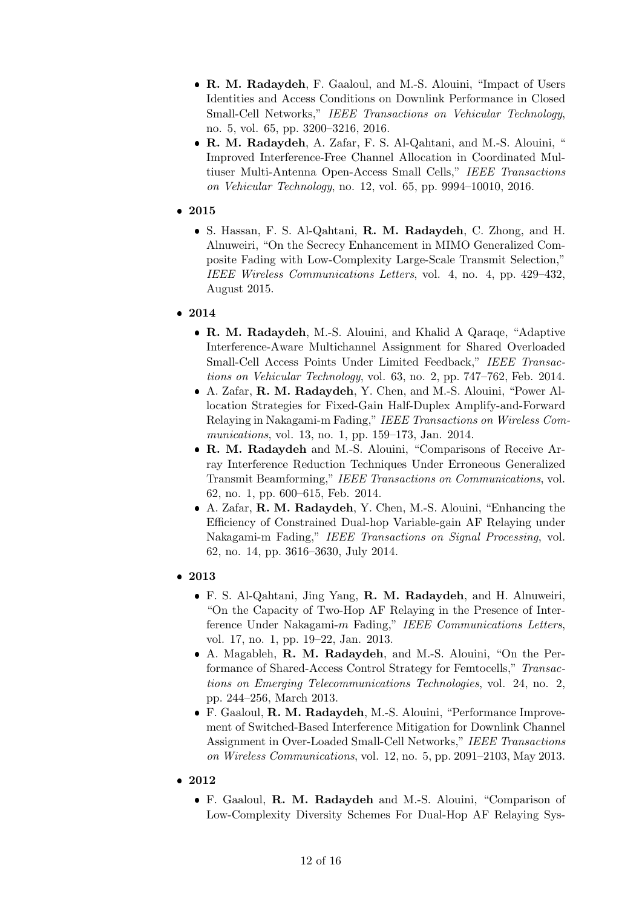- R. M. Radaydeh, F. Gaaloul, and M.-S. Alouini, "Impact of Users" Identities and Access Conditions on Downlink Performance in Closed Small-Cell Networks," IEEE Transactions on Vehicular Technology, no. 5, vol. 65, pp. 3200–3216, 2016.
- R. M. Radaydeh, A. Zafar, F. S. Al-Qahtani, and M.-S. Alouini, " Improved Interference-Free Channel Allocation in Coordinated Multiuser Multi-Antenna Open-Access Small Cells," IEEE Transactions on Vehicular Technology, no. 12, vol. 65, pp. 9994–10010, 2016.
- 2015
	- S. Hassan, F. S. Al-Qahtani, R. M. Radaydeh, C. Zhong, and H. Alnuweiri, "On the Secrecy Enhancement in MIMO Generalized Composite Fading with Low-Complexity Large-Scale Transmit Selection," IEEE Wireless Communications Letters, vol. 4, no. 4, pp. 429–432, August 2015.
- 2014
	- R. M. Radaydeh, M.-S. Alouini, and Khalid A Qaraqe, "Adaptive Interference-Aware Multichannel Assignment for Shared Overloaded Small-Cell Access Points Under Limited Feedback," IEEE Transactions on Vehicular Technology, vol. 63, no. 2, pp. 747–762, Feb. 2014.
	- A. Zafar, R. M. Radaydeh, Y. Chen, and M.-S. Alouini, "Power Allocation Strategies for Fixed-Gain Half-Duplex Amplify-and-Forward Relaying in Nakagami-m Fading," IEEE Transactions on Wireless Communications, vol. 13, no. 1, pp. 159–173, Jan. 2014.
	- R. M. Radaydeh and M.-S. Alouini, "Comparisons of Receive Array Interference Reduction Techniques Under Erroneous Generalized Transmit Beamforming," IEEE Transactions on Communications, vol. 62, no. 1, pp. 600–615, Feb. 2014.
	- A. Zafar, R. M. Radaydeh, Y. Chen, M.-S. Alouini, "Enhancing the Efficiency of Constrained Dual-hop Variable-gain AF Relaying under Nakagami-m Fading," IEEE Transactions on Signal Processing, vol. 62, no. 14, pp. 3616–3630, July 2014.
- 2013
	- F. S. Al-Qahtani, Jing Yang, R. M. Radaydeh, and H. Alnuweiri, "On the Capacity of Two-Hop AF Relaying in the Presence of Interference Under Nakagami-m Fading," IEEE Communications Letters, vol. 17, no. 1, pp. 19–22, Jan. 2013.
	- A. Magableh, R. M. Radaydeh, and M.-S. Alouini, "On the Performance of Shared-Access Control Strategy for Femtocells," Transactions on Emerging Telecommunications Technologies, vol. 24, no. 2, pp. 244–256, March 2013.
	- F. Gaaloul, R. M. Radaydeh, M.-S. Alouini, "Performance Improvement of Switched-Based Interference Mitigation for Downlink Channel Assignment in Over-Loaded Small-Cell Networks," IEEE Transactions on Wireless Communications, vol. 12, no. 5, pp. 2091–2103, May 2013.
- 2012
	- F. Gaaloul, R. M. Radaydeh and M.-S. Alouini, "Comparison of Low-Complexity Diversity Schemes For Dual-Hop AF Relaying Sys-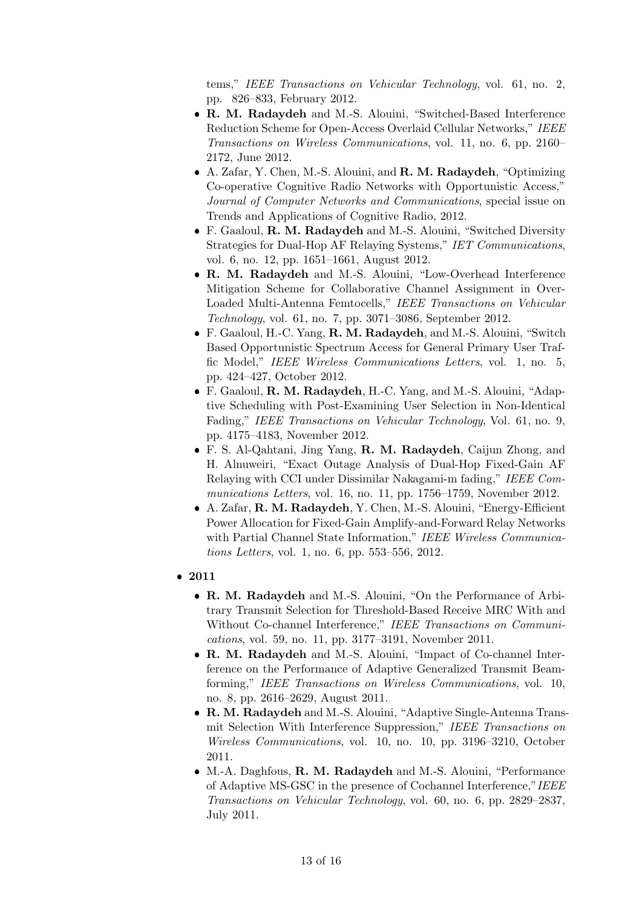tems," IEEE Transactions on Vehicular Technology, vol. 61, no. 2, pp. 826–833, February 2012.

- R. M. Radaydeh and M.-S. Alouini, "Switched-Based Interference Reduction Scheme for Open-Access Overlaid Cellular Networks," IEEE Transactions on Wireless Communications, vol. 11, no. 6, pp. 2160– 2172, June 2012.
- A. Zafar, Y. Chen, M.-S. Alouini, and R. M. Radaydeh, "Optimizing Co-operative Cognitive Radio Networks with Opportunistic Access," Journal of Computer Networks and Communications, special issue on Trends and Applications of Cognitive Radio, 2012.
- F. Gaaloul, R. M. Radaydeh and M.-S. Alouini, "Switched Diversity Strategies for Dual-Hop AF Relaying Systems," IET Communications, vol. 6, no. 12, pp. 1651–1661, August 2012.
- R. M. Radaydeh and M.-S. Alouini, "Low-Overhead Interference Mitigation Scheme for Collaborative Channel Assignment in Over-Loaded Multi-Antenna Femtocells," IEEE Transactions on Vehicular Technology, vol. 61, no. 7, pp. 3071–3086, September 2012.
- F. Gaaloul, H.-C. Yang, R. M. Radaydeh, and M.-S. Alouini, "Switch Based Opportunistic Spectrum Access for General Primary User Traffic Model," IEEE Wireless Communications Letters, vol. 1, no. 5, pp. 424–427, October 2012.
- F. Gaaloul, R. M. Radaydeh, H.-C. Yang, and M.-S. Alouini, "Adaptive Scheduling with Post-Examining User Selection in Non-Identical Fading," IEEE Transactions on Vehicular Technology, Vol. 61, no. 9, pp. 4175–4183, November 2012.
- F. S. Al-Qahtani, Jing Yang, R. M. Radaydeh, Caijun Zhong, and H. Alnuweiri, "Exact Outage Analysis of Dual-Hop Fixed-Gain AF Relaying with CCI under Dissimilar Nakagami-m fading," IEEE Communications Letters, vol. 16, no. 11, pp. 1756–1759, November 2012.
- A. Zafar, R. M. Radaydeh, Y. Chen, M.-S. Alouini, "Energy-Efficient Power Allocation for Fixed-Gain Amplify-and-Forward Relay Networks with Partial Channel State Information," IEEE Wireless Communications Letters, vol. 1, no. 6, pp. 553–556, 2012.
- 2011
	- R. M. Radaydeh and M.-S. Alouini, "On the Performance of Arbitrary Transmit Selection for Threshold-Based Receive MRC With and Without Co-channel Interference," IEEE Transactions on Communications, vol. 59, no. 11, pp. 3177–3191, November 2011.
	- R. M. Radaydeh and M.-S. Alouini, "Impact of Co-channel Interference on the Performance of Adaptive Generalized Transmit Beamforming," IEEE Transactions on Wireless Communications, vol. 10, no. 8, pp. 2616–2629, August 2011.
	- R. M. Radaydeh and M.-S. Alouini, "Adaptive Single-Antenna Transmit Selection With Interference Suppression," IEEE Transactions on Wireless Communications, vol. 10, no. 10, pp. 3196–3210, October 2011.
	- M.-A. Daghfous, **R. M. Radaydeh** and M.-S. Alouini, "Performance of Adaptive MS-GSC in the presence of Cochannel Interference,"IEEE Transactions on Vehicular Technology, vol. 60, no. 6, pp. 2829–2837, July 2011.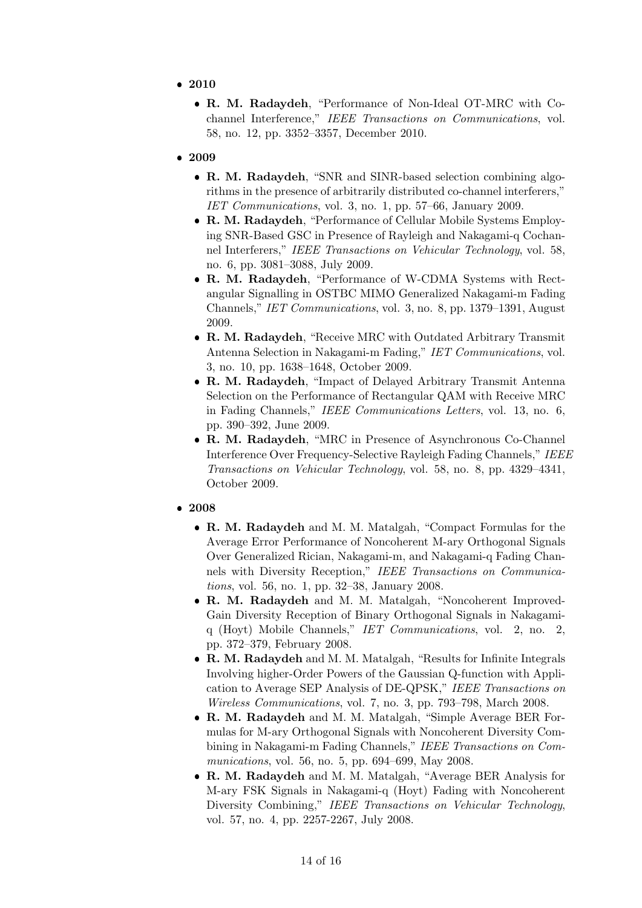- 2010
	- R. M. Radaydeh, "Performance of Non-Ideal OT-MRC with Cochannel Interference," IEEE Transactions on Communications, vol. 58, no. 12, pp. 3352–3357, December 2010.
- 2009
	- R. M. Radaydeh, "SNR and SINR-based selection combining algorithms in the presence of arbitrarily distributed co-channel interferers," IET Communications, vol. 3, no. 1, pp. 57–66, January 2009.
	- R. M. Radaydeh, "Performance of Cellular Mobile Systems Employing SNR-Based GSC in Presence of Rayleigh and Nakagami-q Cochannel Interferers," IEEE Transactions on Vehicular Technology, vol. 58, no. 6, pp. 3081–3088, July 2009.
	- R. M. Radaydeh, "Performance of W-CDMA Systems with Rectangular Signalling in OSTBC MIMO Generalized Nakagami-m Fading Channels," IET Communications, vol. 3, no. 8, pp. 1379–1391, August 2009.
	- R. M. Radaydeh, "Receive MRC with Outdated Arbitrary Transmit Antenna Selection in Nakagami-m Fading," IET Communications, vol. 3, no. 10, pp. 1638–1648, October 2009.
	- R. M. Radaydeh, "Impact of Delayed Arbitrary Transmit Antenna Selection on the Performance of Rectangular QAM with Receive MRC in Fading Channels," IEEE Communications Letters, vol. 13, no. 6, pp. 390–392, June 2009.
	- R. M. Radaydeh, "MRC in Presence of Asynchronous Co-Channel Interference Over Frequency-Selective Rayleigh Fading Channels," IEEE Transactions on Vehicular Technology, vol. 58, no. 8, pp. 4329–4341, October 2009.
- 2008
	- R. M. Radaydeh and M. M. Matalgah, "Compact Formulas for the Average Error Performance of Noncoherent M-ary Orthogonal Signals Over Generalized Rician, Nakagami-m, and Nakagami-q Fading Channels with Diversity Reception," IEEE Transactions on Communications, vol. 56, no. 1, pp. 32–38, January 2008.
	- R. M. Radaydeh and M. M. Matalgah, "Noncoherent Improved-Gain Diversity Reception of Binary Orthogonal Signals in Nakagamiq (Hoyt) Mobile Channels," IET Communications, vol. 2, no. 2, pp. 372–379, February 2008.
	- R. M. Radaydeh and M. M. Matalgah, "Results for Infinite Integrals Involving higher-Order Powers of the Gaussian Q-function with Application to Average SEP Analysis of DE-QPSK," IEEE Transactions on Wireless Communications, vol. 7, no. 3, pp. 793–798, March 2008.
	- R. M. Radaydeh and M. M. Matalgah, "Simple Average BER Formulas for M-ary Orthogonal Signals with Noncoherent Diversity Combining in Nakagami-m Fading Channels," IEEE Transactions on Communications, vol. 56, no. 5, pp. 694–699, May 2008.
	- R. M. Radaydeh and M. M. Matalgah, "Average BER Analysis for M-ary FSK Signals in Nakagami-q (Hoyt) Fading with Noncoherent Diversity Combining," IEEE Transactions on Vehicular Technology, vol. 57, no. 4, pp. 2257-2267, July 2008.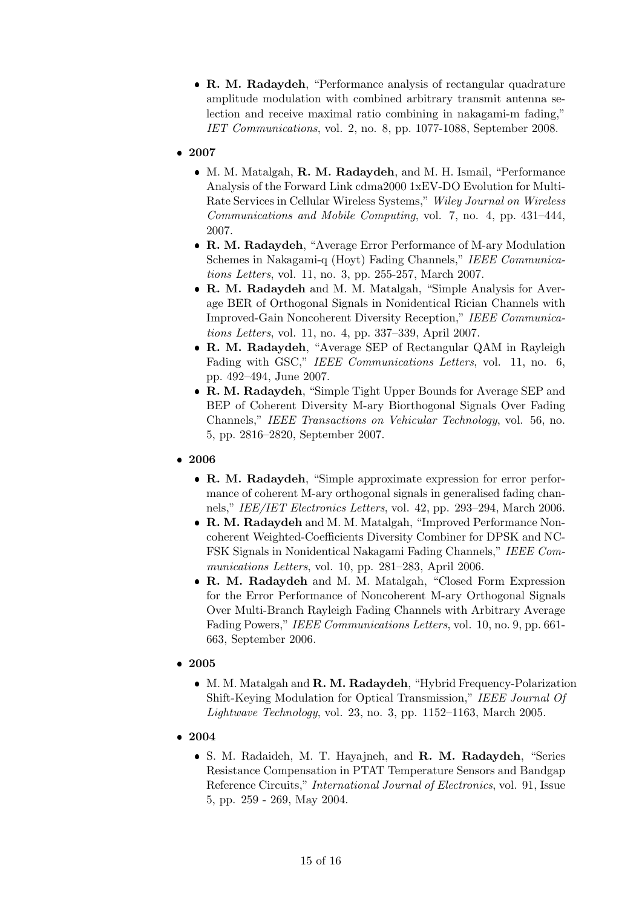• R. M. Radaydeh, "Performance analysis of rectangular quadrature amplitude modulation with combined arbitrary transmit antenna selection and receive maximal ratio combining in nakagami-m fading," IET Communications, vol. 2, no. 8, pp. 1077-1088, September 2008.

## • 2007

- M. M. Matalgah, **R. M. Radaydeh**, and M. H. Ismail, "Performance Analysis of the Forward Link cdma2000 1xEV-DO Evolution for Multi-Rate Services in Cellular Wireless Systems," Wiley Journal on Wireless Communications and Mobile Computing, vol. 7, no. 4, pp. 431–444, 2007.
- R. M. Radaydeh, "Average Error Performance of M-ary Modulation Schemes in Nakagami-q (Hoyt) Fading Channels," IEEE Communications Letters, vol. 11, no. 3, pp. 255-257, March 2007.
- R. M. Radaydeh and M. M. Matalgah, "Simple Analysis for Average BER of Orthogonal Signals in Nonidentical Rician Channels with Improved-Gain Noncoherent Diversity Reception," IEEE Communications Letters, vol. 11, no. 4, pp. 337–339, April 2007.
- R. M. Radaydeh, "Average SEP of Rectangular QAM in Rayleigh Fading with GSC," IEEE Communications Letters, vol. 11, no. 6, pp. 492–494, June 2007.
- R. M. Radaydeh, "Simple Tight Upper Bounds for Average SEP and BEP of Coherent Diversity M-ary Biorthogonal Signals Over Fading Channels," IEEE Transactions on Vehicular Technology, vol. 56, no. 5, pp. 2816–2820, September 2007.
- 2006
	- R. M. Radaydeh, "Simple approximate expression for error performance of coherent M-ary orthogonal signals in generalised fading channels," IEE/IET Electronics Letters, vol. 42, pp. 293–294, March 2006.
	- R. M. Radaydeh and M. M. Matalgah, "Improved Performance Noncoherent Weighted-Coefficients Diversity Combiner for DPSK and NC-FSK Signals in Nonidentical Nakagami Fading Channels," IEEE Communications Letters, vol. 10, pp. 281–283, April 2006.
	- R. M. Radaydeh and M. M. Matalgah, "Closed Form Expression for the Error Performance of Noncoherent M-ary Orthogonal Signals Over Multi-Branch Rayleigh Fading Channels with Arbitrary Average Fading Powers," IEEE Communications Letters, vol. 10, no. 9, pp. 661- 663, September 2006.
- 2005
	- M. M. Matalgah and R. M. Radaydeh, "Hybrid Frequency-Polarization Shift-Keying Modulation for Optical Transmission," IEEE Journal Of Lightwave Technology, vol. 23, no. 3, pp. 1152–1163, March 2005.
- 2004
	- S. M. Radaideh, M. T. Hayajneh, and R. M. Radaydeh, "Series Resistance Compensation in PTAT Temperature Sensors and Bandgap Reference Circuits," International Journal of Electronics, vol. 91, Issue 5, pp. 259 - 269, May 2004.